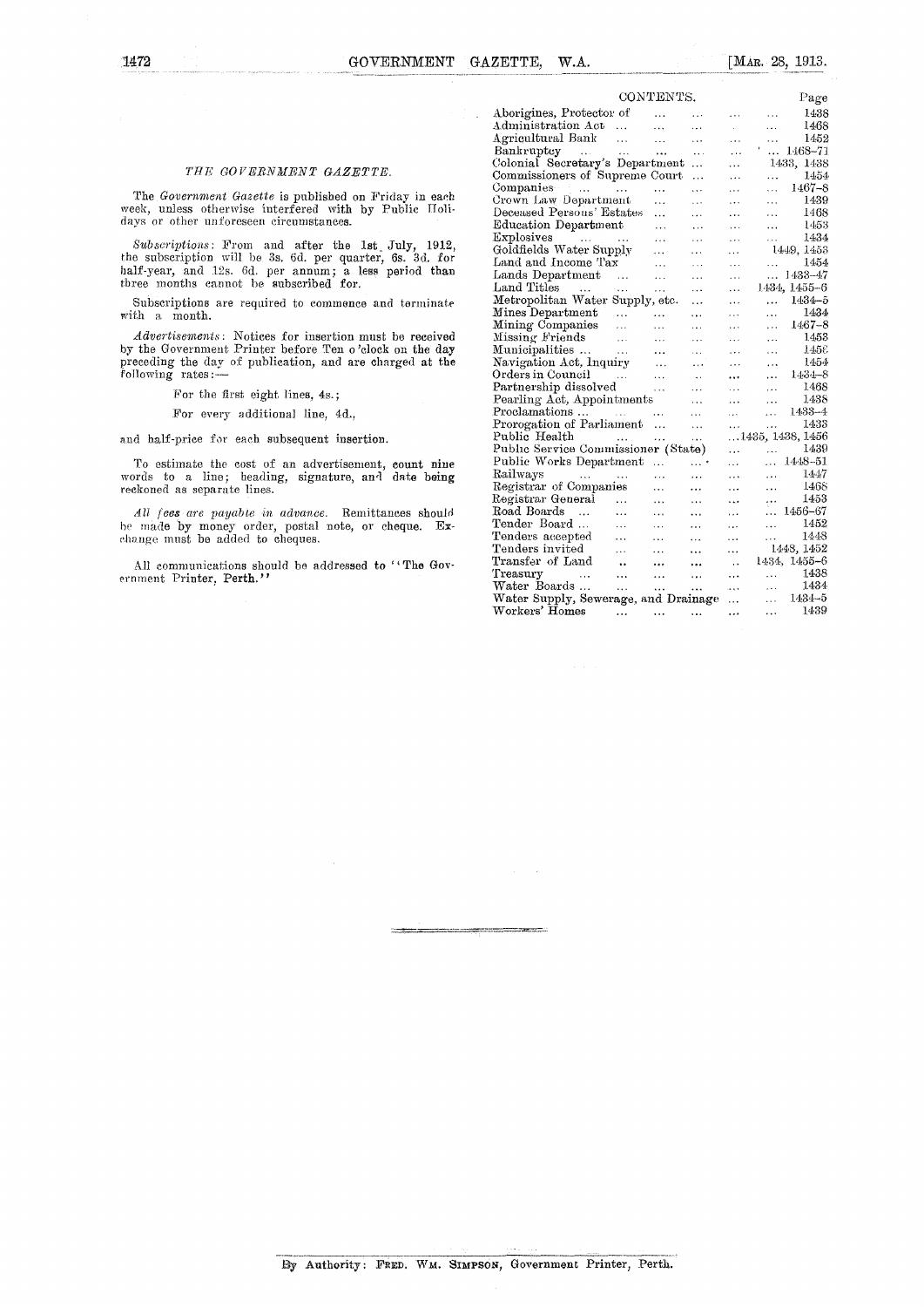$\bar{z}$ 

## *THE GOVERNMENT GAZETTE.*

The *Government Gazette* is published on Friday in each week, unless otherwise interfered with by Public Holidays or other unforeseen circumstances.

*Subscriptions:* From and after the 1st July, 1912, the subscription will be 3s. 6d. per quarter, 6s. 3d. for half-year, and 12s. 6d. per annum; a less period than three months cannot be subscribed for.

Subscriptions are required to commence and terminate with a month.

*Advertisements:* Notices for insertion must be received by the Government Printer before Ten o 'clock on the day preceding the day of publication, and are charged at the following rates :-

For the first eight lines, 4s.;

For every additional line, 4d,,

and half-price for each subsequent insertion.

To estimate the cost of an advertisement, count nine words to a line; heading, signature, and date being reckoned as separate lines.

*All fees are payable in advance.* Remittances should be made by money order, postal note, or cheque. Exchange must be added to cheques.

All communications should be addressed to "The Government Printer, Perth."

| CONTENTS.                                   |                      |           |           |           |           | Page                     |
|---------------------------------------------|----------------------|-----------|-----------|-----------|-----------|--------------------------|
|                                             |                      |           |           |           |           |                          |
| Aborigines, Protector of                    |                      |           | .         | .         | $\ddotsc$ | 1438                     |
| Administration Act                          | $\cdots$             |           | .         |           | .         | 1468                     |
| Agricultural Bank                           | $\cdots$             | .         | .         | $\cdots$  | .         | 1452                     |
| Bankruptcy<br>$\alpha$ , $\alpha$ , $\beta$ | $\bar{\alpha}$ .     | $\ddotsc$ | .         | .         | .         | 1468-71                  |
| Colonial Secretary's Department             |                      |           | .         | .         |           | 1433, 1438               |
| Commissioners of Supreme Court              |                      |           | .         | .         | .         | 1454                     |
| $\sim$ $\sim$<br>Companies                  | $\ddotsc$            | .         | .         | $\cdots$  | $\cdots$  | 1467-8                   |
| Crown Law Department                        |                      | .         | .         |           | .         | 1439                     |
| Deceased Persons' Estates                   |                      | .         | .         | .         | .         | 1468                     |
| Education Department                        |                      | $\ddotsc$ | .         | $\cdots$  | $\ddotsc$ | 1453                     |
| Explosives<br>and a state of the state      |                      | .         | .         | $\cdots$  | .         | 1434                     |
| Goldfields Water Supply                     |                      | $\cdots$  | .         | .         |           | 1449, 1453               |
| Land and Income Tax                         |                      | .         | $\sim$    | $\cdots$  |           | 1454                     |
| Lands Department                            |                      | .         | .         | $\ddotsc$ | $\cdots$  | 1433-47                  |
| Land Titles<br>$\sim$ 100<br>ولادواء        |                      | .         | .         | $\cdots$  |           | 1434, 1455–6             |
| Metropolitan Water Supply, etc.             |                      |           | .         | .         | .         | $1434 - 5$               |
| Mines Department                            | $\ddotsc$            |           | .         | .         | .         | 1434                     |
| Mining Companies                            | $\ddot{\phantom{0}}$ | $\ddotsc$ | .         | .         | $\cdots$  | 1467–8                   |
| Missing Friends                             | .                    | .         | .         | .         | .         | 1453                     |
| Municipalities                              | $\ldots$             | .         | .         | .         | $\cdots$  | 145€                     |
| Navigation Act, Inquiry                     |                      | .         | .         | .         | $\cdots$  | 1454                     |
| Orders in Council                           |                      | .         | $\ddotsc$ | $\cdots$  | .         | 1434-8                   |
| Partnership dissolved                       |                      | .         | .         | .         | $\cdots$  | 1468                     |
| Pearling Act, Appointments                  |                      |           | .         | $\cdots$  | $\cdots$  | 1438                     |
| Proclamations<br><b>Contractor</b>          |                      | .         | .         | .         | $\cdots$  | 1433-4                   |
| Prorogation of Parliament                   |                      | $\cdots$  | .         |           | $\cdots$  | 1433                     |
| Public Health                               | $\ddotsc$            | .         | .         |           |           | $\dots$ 1435, 1438, 1456 |
| Public Service Commissioner (State)         |                      |           |           |           | $\cdots$  | 1439                     |
| Public Works Department                     |                      | .         | . *       | .         | $\cdots$  | 1448–51                  |
| Railways<br>$\sim 10^{-11}$                 |                      | .         |           | $\cdots$  | .         | 1447                     |
| Registrar of Companies                      |                      | .         | .         | .         | .         | 1468                     |
| Registrar General                           | $\ddotsc$            | .         | .         | .         | .         | 1453                     |
| Road Boards<br>$\ddotsc$                    | $\ddotsc$            | $\ddotsc$ | .         | $\cdots$  | .         | 1456-67                  |
| Tender Board                                | $\ddotsc$            | .         | .         | .         | .         | 1452                     |
| Tenders accepted                            | .                    | .         | .         | .         | $\cdots$  | 1448                     |
| Tenders invited                             | $\cdots$             | $\ddotsc$ | .         | $\ddotsc$ |           | 1448, 1452               |
| Transfer of Land                            | $\ddot{\phantom{a}}$ |           | $\cdots$  | ò,        |           | 1434, 1455–6             |
| Treasury'<br>$\ddotsc$                      |                      | .         |           |           | .         | 1438                     |
| Water Boards                                | $\ddotsc$            |           | .         | <br>ويري  | .         | 1434                     |
| Water Supply, Sewerage, and Drainage        |                      | $\ddotsc$ |           |           | $\cdots$  | 1434–5                   |
| Workers' Homes                              |                      |           |           | $\ddotsc$ |           | 1439                     |
|                                             |                      | .         | .         |           | .         |                          |